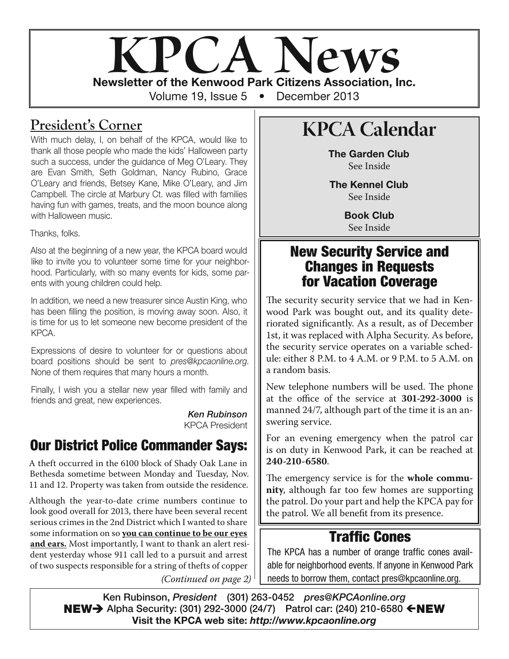

#### **President's Corner**

With much delay, I, on behalf of the KPCA, would like to thank all those people who made the kids' Halloween party such a success, under the guidance of Meg O'Leary. They are Evan Smith, Seth Goldman, Nancy Rubino, Grace O'Leary and friends, Betsey Kane, Mike O'Leary, and Jim Campbell. The circle at Marbury Ct. was filled with families having fun with games, treats, and the moon bounce along with Halloween music.

Thanks, folks.

Also at the beginning of a new year, the KPCA board would like to invite you to volunteer some time for your neighborhood. Particularly, with so many events for kids, some parents with young children could help.

In addition, we need a new treasurer since Austin King, who has been filling the position, is moving away soon. Also, it is time for us to let someone new become president of the KPCA.

Expressions of desire to volunteer for or questions about board positions should be sent to pres@kpcaonline.org. None of them requires that many hours a month.

Finally, I wish you a stellar new year filled with family and friends and great, new experiences.

> *Ken Rubinson* KPCA President

### **Our District Police Commander Says:**

A theft occurred in the 6100 block of Shady Oak Lane in Bethesda sometime between Monday and Tuesday, Nov. 11 and 12. Property was taken from outside the residence.

Although the year-to-date crime numbers continue to look good overall for 2013, there have been several recent serious crimes in the 2nd District which I wanted to share some information on so **you can continue to be our eyes and ears.** Most importantly, I want to thank an alert resident yesterday whose 911 call led to a pursuit and arrest of two suspects responsible for a string of thefts of copper

(Continued on page 2)

# **KPCA Calendar**

**The Garden Club** See Inside

**The Kennel Club** See Inside

> **Book Club** See Inside

#### **New Security Service and Changes in Requests for Vacation Coverage**

The security security service that we had in Kenwood Park was bought out, and its quality deteriorated significantly. As a result, as of December 1st, it was replaced with Alpha Security. As before, the security service operates on a variable schedule: either 8 P.M. to 4 A.M. or 9 P.M. to 5 A.M. on a random basis.

New telephone numbers will be used. The phone at the office of the service at **301-292-3000** is manned 24/7, although part of the time it is an answering service.

For an evening emergency when the patrol car is on duty in Kenwood Park, it can be reached at **240-210-6580**.

The emergency service is for the **whole community**, although far too few homes are supporting the patrol. Do your part and help the KPCA pay for the patrol. We all benefit from its presence.

## **Traffic Cones**

The KPCA has a number of orange traffic cones available for neighborhood events. If anyone in Kenwood Park needs to borrow them, contact pres@kpcaonline.org.

**Ken Rubinson,** *President* **(301) 263-0452** *pres@KPCAonline.org* **NEW→** Alpha Security: (301) 292-3000 (24/7) Patrol car: (240) 210-6580 ←NEW **Visit the KPCA web site:** *http://www.kpcaonline.org*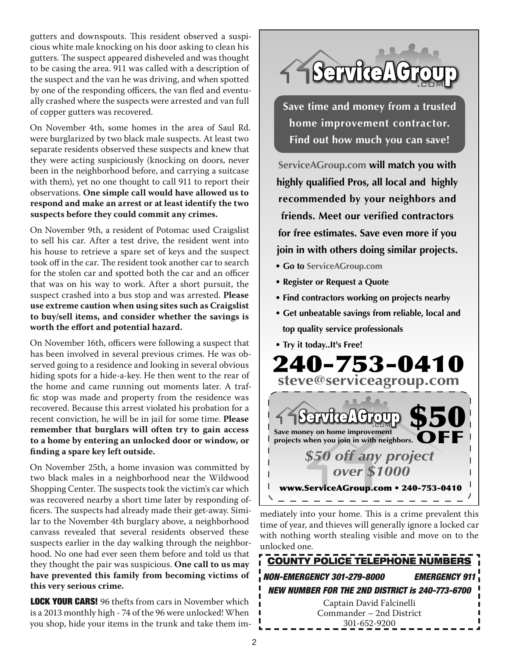gutters and downspouts. This resident observed a suspicious white male knocking on his door asking to clean his gutters. The suspect appeared disheveled and was thought to be casing the area. 911 was called with a description of the suspect and the van he was driving, and when spotted by one of the responding officers, the van fled and eventually crashed where the suspects were arrested and van full of copper gutters was recovered.

On November 4th, some homes in the area of Saul Rd. were burglarized by two black male suspects. At least two separate residents observed these suspects and knew that they were acting suspiciously (knocking on doors, never been in the neighborhood before, and carrying a suitcase with them), yet no one thought to call 911 to report their observations. **One simple call would have allowed us to respond and make an arrest or at least identify the two suspects before they could commit any crimes.**

On November 9th, a resident of Potomac used Craigslist to sell his car. After a test drive, the resident went into his house to retrieve a spare set of keys and the suspect took off in the car. The resident took another car to search for the stolen car and spotted both the car and an officer that was on his way to work. After a short pursuit, the suspect crashed into a bus stop and was arrested. **Please use extreme caution when using sites such as Craigslist to buy/sell items, and consider whether the savings is worth the effort and potential hazard.**

On November 16th, officers were following a suspect that has been involved in several previous crimes. He was observed going to a residence and looking in several obvious hiding spots for a hide-a-key. He then went to the rear of the home and came running out moments later. A traffic stop was made and property from the residence was recovered. Because this arrest violated his probation for a recent conviction, he will be in jail for some time. **Please remember that burglars will often try to gain access to a home by entering an unlocked door or window, or finding a spare key left outside.**

On November 25th, a home invasion was committed by two black males in a neighborhood near the Wildwood Shopping Center. The suspects took the victim's car which was recovered nearby a short time later by responding officers. The suspects had already made their get-away. Similar to the November 4th burglary above, a neighborhood canvass revealed that several residents observed these suspects earlier in the day walking through the neighborhood. No one had ever seen them before and told us that they thought the pair was suspicious. **One call to us may have prevented this family from becoming victims of this very serious crime.**

**LOCK YOUR CARS!** 96 thefts from cars in November which is a 2013 monthly high - 74 of the 96 were unlocked! When you shop, hide your items in the trunk and take them im-



**Save time and money from a trusted home improvement contractor. Find out how much you can save!**

**ServiceAGroup.com will match you with highly qualified Pros, all local and highly recommended by your neighbors and friends. Meet our verified contractors for free estimates. Save even more if you join in with others doing similar projects.**

- **Go to ServiceAGroup.com**
- **Register or Request a Quote**
- **Find contractors working on projects nearby**
- **Get unbeatable savings from reliable, local and top quality service professionals**
- **Try it today..It's Free!**



mediately into your home. This is a crime prevalent this time of year, and thieves will generally ignore a locked car with nothing worth stealing visible and move on to the unlocked one.

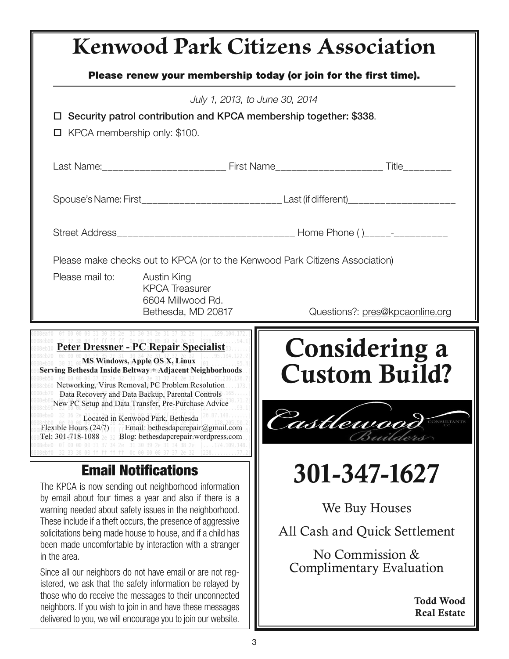# **Kenwood Park Citizens Association Please renew your membership today (or join for the first time).** July 1, 2013, to June 30, 2014 **Security patrol contribution and KPCA membership together: \$338**.  $\Box$  KPCA membership only: \$100. Last Name:\_\_\_\_\_\_\_\_\_\_\_\_\_\_\_\_\_\_\_\_\_\_\_\_\_\_\_\_\_\_\_\_ First Name\_\_\_\_\_\_\_\_\_\_\_\_\_\_\_\_\_\_\_\_\_\_\_\_\_\_\_\_\_\_\_\_\_\_ Title\_\_\_\_\_\_\_\_\_\_\_\_\_\_\_\_\_ Spouse's Name: First\_\_\_\_\_\_\_\_\_\_\_\_\_\_\_\_\_\_\_\_\_\_\_\_\_\_\_\_\_\_\_\_Last (if different)\_\_\_\_\_\_\_\_\_\_\_\_\_\_\_\_\_\_\_\_\_\_\_\_\_\_\_\_ Street Address\_\_\_\_\_\_\_\_\_\_\_\_\_\_\_\_\_\_\_\_\_\_\_\_\_\_\_\_\_\_\_\_\_ Home Phone ( )\_\_\_\_\_-\_\_\_\_\_\_\_\_\_\_ Please make checks out to KPCA (or to the Kenwood Park Citizens Association) Please mail to: Austin King KPCA Treasurer 6604 Millwood Rd. Bethesda, MD 20817 Questions?: pres@kpcaonline.org **<u><b>Peter Dressner - PC Repair Specialist</u>**</u>

#### **MS Windows, Apple OS X, Linux Serving Bethesda Inside Beltway + Adjacent Neighborhoods**

Networking, Virus Removal, PC Problem Resolution Data Recovery and Data Backup, Parental Controls New PC Setup and Data Transfer, Pre-Purchase Advice

Located in Kenwood Park, Bethesda Flexible Hours  $(24/7)$  Email: bethesdapcrepair@gmail.com Tel: 301-718-1088 20 32 Blog: bethesdapcrepair.wordpress.com

#### **Email Notifications**

The KPCA is now sending out neighborhood information by email about four times a year and also if there is a warning needed about safety issues in the neighborhood. These include if a theft occurs, the presence of aggressive solicitations being made house to house, and if a child has been made uncomfortable by interaction with a stranger in the area.

Since all our neighbors do not have email or are not registered, we ask that the safety information be relayed by those who do receive the messages to their unconnected neighbors. If you wish to join in and have these messages delivered to you, we will encourage you to join our website.

Considering a Custom Build?



# 301-347-1627

We Buy Houses

All Cash and Quick Settlement

No Commission & Complimentary Evaluation

> Todd Wood Real Estate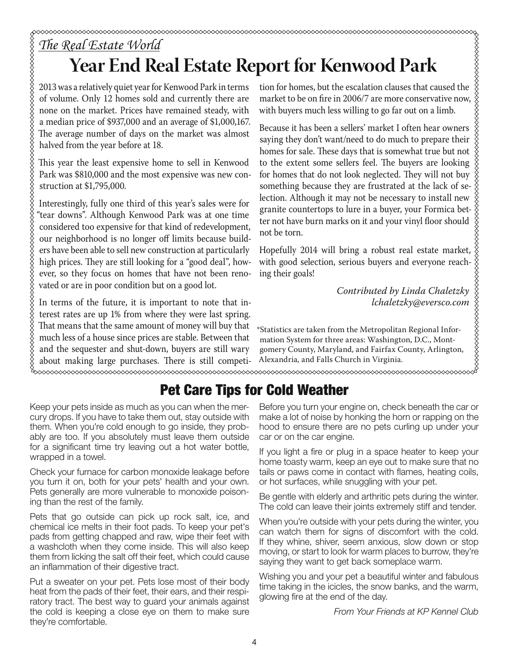# *The Real Estate World* **Year End Real Estate Report for Kenwood Park**

2013 was a relatively quiet year for Kenwood Park in terms of volume. Only 12 homes sold and currently there are none on the market. Prices have remained steady, with a median price of \$937,000 and an average of \$1,000,167. The average number of days on the market was almost halved from the year before at 18.

This year the least expensive home to sell in Kenwood Park was \$810,000 and the most expensive was new construction at \$1,795,000.

Interestingly, fully one third of this year's sales were for "tear downs". Although Kenwood Park was at one time considered too expensive for that kind of redevelopment, our neighborhood is no longer off limits because builders have been able to sell new construction at particularly high prices. They are still looking for a "good deal", however, so they focus on homes that have not been renovated or are in poor condition but on a good lot.

In terms of the future, it is important to note that interest rates are up 1% from where they were last spring. That means that the same amount of money will buy that much less of a house since prices are stable. Between that and the sequester and shut-down, buyers are still wary about making large purchases. There is still competi-

tion for homes, but the escalation clauses that caused the **POTT for Kenwood Park**<br>
tion for homes, but the escalation clauses that caused the  $\frac{2}{3}$  market to be on fire in 2006/7 are more conservative now,  $\frac{2}{3}$  with buyers much less willing to go far out on a limb.<br>
Bec with buyers much less willing to go far out on a limb.

Because it has been a sellers' market I often hear owners saying they don't want/need to do much to prepare their homes for sale. These days that is somewhat true but not to the extent some sellers feel. The buyers are looking for homes that do not look neglected. They will not buy something because they are frustrated at the lack of selection. Although it may not be necessary to install new granite countertops to lure in a buyer, your Formica better not have burn marks on it and your vinyl floor should not be torn.

Hopefully 2014 will bring a robust real estate market, with good selection, serious buyers and everyone reaching their goals!

> Contributed by Linda Chaletzky lchaletzky@eversco.com

\*Statistics are taken from the Metropolitan Regional Information System for three areas: Washington, D.C., Montgomery County, Maryland, and Fairfax County, Arlington, Alexandria, and Falls Church in Virginia.

**xxxxxxxxxxxxxxxxxxxxxxxxxxxxxxxxxxx** 

# **Pet Care Tips for Cold Weather**

Keep your pets inside as much as you can when the mercury drops. If you have to take them out, stay outside with them. When you're cold enough to go inside, they probably are too. If you absolutely must leave them outside for a significant time try leaving out a hot water bottle, wrapped in a towel.

Check your furnace for carbon monoxide leakage before you turn it on, both for your pets' health and your own. Pets generally are more vulnerable to monoxide poisoning than the rest of the family.

Pets that go outside can pick up rock salt, ice, and chemical ice melts in their foot pads. To keep your pet's pads from getting chapped and raw, wipe their feet with a washcloth when they come inside. This will also keep them from licking the salt off their feet, which could cause an inflammation of their digestive tract.

Put a sweater on your pet. Pets lose most of their body heat from the pads of their feet, their ears, and their respiratory tract. The best way to guard your animals against the cold is keeping a close eye on them to make sure they're comfortable.

Before you turn your engine on, check beneath the car or make a lot of noise by honking the horn or rapping on the hood to ensure there are no pets curling up under your car or on the car engine.

If you light a fire or plug in a space heater to keep your home toasty warm, keep an eye out to make sure that no tails or paws come in contact with flames, heating coils, or hot surfaces, while snuggling with your pet.

Be gentle with elderly and arthritic pets during the winter. The cold can leave their joints extremely stiff and tender.

When you're outside with your pets during the winter, you can watch them for signs of discomfort with the cold. If they whine, shiver, seem anxious, slow down or stop moving, or start to look for warm places to burrow, they're saying they want to get back someplace warm.

Wishing you and your pet a beautiful winter and fabulous time taking in the icicles, the snow banks, and the warm, glowing fire at the end of the day.

From Your Friends at KP Kennel Club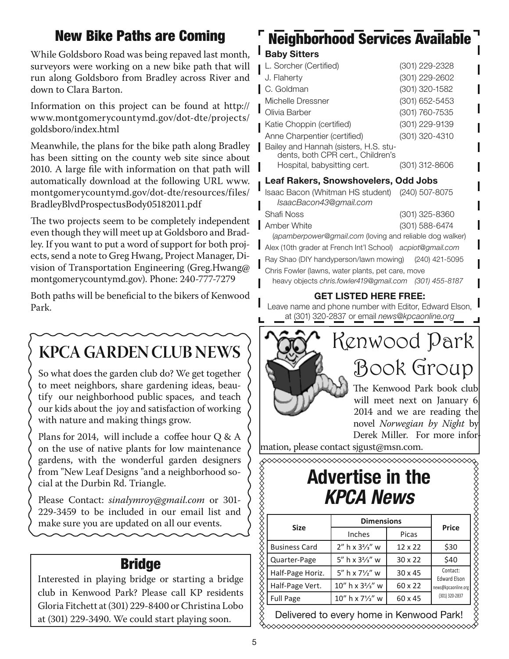## **New Bike Paths are Coming**

While Goldsboro Road was being repaved last month, surveyors were working on a new bike path that will run along Goldsboro from Bradley across River and down to Clara Barton.

Information on this project can be found at http:// www.montgomerycountymd.gov/dot-dte/projects/ goldsboro/index.html

Meanwhile, the plans for the bike path along Bradley has been sitting on the county web site since about 2010. A large file with information on that path will automatically download at the following URL www. montgomerycountymd.gov/dot-dte/resources/files/ BradleyBlvdProspectusBody05182011.pdf

The two projects seem to be completely independent even though they will meet up at Goldsboro and Bradley. If you want to put a word of support for both projects, send a note to Greg Hwang, Project Manager, Division of Transportation Engineering (Greg.Hwang@ montgomerycountymd.gov). Phone: 240-777-7279

Both paths will be beneficial to the bikers of Kenwood Park.

# **KPCA GARDEN CLUB NEWS**

So what does the garden club do? We get together to meet neighbors, share gardening ideas, beautify our neighborhood public spaces, and teach our kids about the joy and satisfaction of working with nature and making things grow.

Plans for 2014, will include a coffee hour Q & A on the use of native plants for low maintenance gardens, with the wonderful garden designers from "New Leaf Designs "and a neighborhood social at the Durbin Rd. Triangle.

Please Contact: sinalymroy@gmail.com or 301-229-3459 to be included in our email list and make sure you are updated on all our events.

### **Bridge**

Interested in playing bridge or starting a bridge club in Kenwood Park? Please call KP residents Gloria Fitchett at (301) 229-8400 or Christina Lobo at (301) 229-3490. We could start playing soon.

# **Neighborhood Services Available**

#### **Baby Sitters**

| L. Sorcher (Certified)                                                                                    | (301) 229-2328 |
|-----------------------------------------------------------------------------------------------------------|----------------|
| J. Flaherty                                                                                               | (301) 229-2602 |
| C. Goldman                                                                                                | (301) 320-1582 |
| Michelle Dressner                                                                                         | (301) 652-5453 |
| Olivia Barber                                                                                             | (301) 760-7535 |
| Katie Choppin (certified)                                                                                 | (301) 229-9139 |
| Anne Charpentier (certified)                                                                              | (301) 320-4310 |
| Bailey and Hannah (sisters, H.S. stu-<br>dents, both CPR cert., Children's<br>Hospital, babysitting cert. | (301) 312-8606 |
| Leaf Rakers, Snowshovelers, Odd Jobs                                                                      |                |

| Isaac Bacon (Whitman HS student) (240) 507-8075<br>IsaacBacon43@gmail.com |                |
|---------------------------------------------------------------------------|----------------|
| <b>Shafi Noss</b>                                                         | (301) 325-8360 |
| Amber White                                                               | (301) 588-6474 |
| (apamberpower@gmail.com (loving and reliable dog walker)                  |                |
| Alex (10th grader at French Int'l School) acpiot@gmail.com                |                |
| Ray Shao (DIY handyperson/lawn mowing) (240) 421-5095                     |                |

Chris Fowler (lawns, water plants, pet care, move

heavy objects chris.fowler419@gmail.com (301) 455-8187

#### **GET LISTED HERE FREE:**

Leave name and phone number with Editor, Edward Elson, at (301) 320-2837 or email news@kpcaonline.org



novel Norwegian by Night by Derek Miller. For more infor-

mation, please contact sjgust@msn.com.

# **Advertise in the**

|                      | ◇◇◇◇◇◇◇◇◇◇◇◇◇◇◇◇◇◇◇◇◇◇◇◇◇◇◇◇<br><b>Advertise in the</b><br><b>KPCA News</b> |                |                                       |
|----------------------|-----------------------------------------------------------------------------|----------------|---------------------------------------|
|                      | <b>Dimensions</b>                                                           |                |                                       |
| <b>Size</b>          | Inches                                                                      | Picas          | <b>Price</b>                          |
| <b>Business Card</b> | $2''$ h x $3\frac{2}{3}''$ w                                                | $12 \times 22$ | \$30                                  |
| Quarter-Page         | 5" h x $3\frac{2}{3}$ " w                                                   | $30 \times 22$ | \$40                                  |
| Half-Page Horiz.     | 5" h x 71/2" w                                                              | $30 \times 45$ | Contact:<br><b>Edward Elson</b>       |
| Half-Page Vert.      | $10''$ h x $3\frac{2}{3}''$ w                                               | 60 x 22        | news@kpcaonline.org<br>(301) 320-2837 |
| <b>Full Page</b>     | $10''$ h x $7\frac{1}{2}''$ w                                               | 60 x 45        |                                       |

Delivered to every home in Kenwood Park!